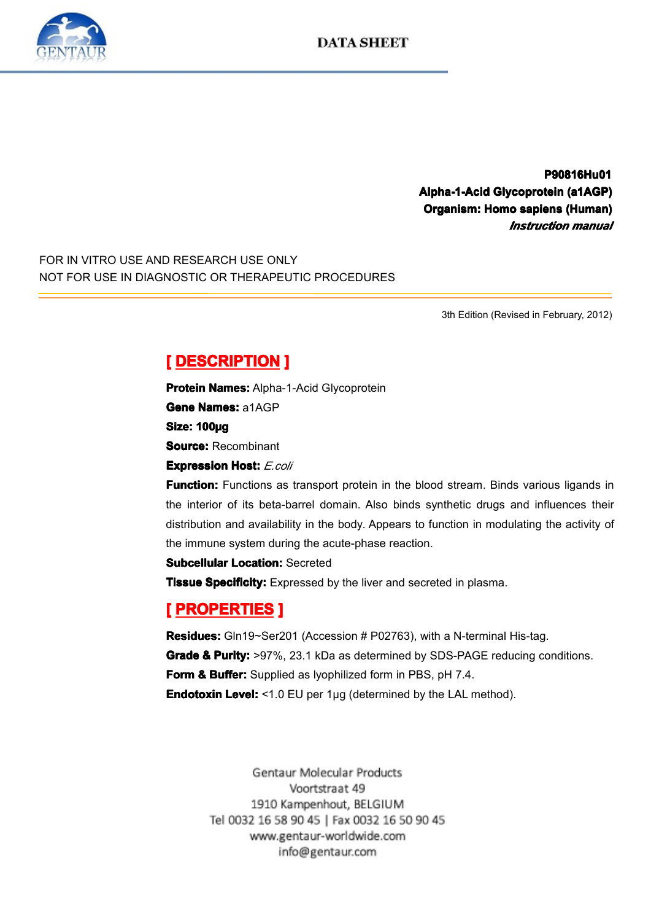

**P90816Hu01 P90816Hu01 Alpha-1-Acid Glycoprotein (a1AGP)**<br>**Organism: Homo sapiens (Human)**<br>*Instruction manual* **Computed Channel Control Channel Channel Channel Channel Channel Channel Channel Channel Channel Channel Channel Channel Channel Channel Channel Channel Channel Channel Channel Channel Channel Channel Channel Channel Chan** *Instruction Instruction Instruction manual*

FOR IN VITRO USE AND RESEARCH USE ONLY NOT FOR USE IN DIAGNOSTIC OR THERAPEUTIC PROCEDURES

3th Edition (Revised in February, 2012)

# **Experies DESCRIPTION**<br> **Protein Names: Alpha-<br>
Gene Names: a1AGP<br>
Size: 100µg<br>
Source: Recombinant<br>
Expression Hest: 5.00**

**Protein Names:** Alpha-1-Acid Glycoprotein<br>**Gene Names:** a1AGP<br>**Size: 100µg**<br>**Source:** Recombinant<br>**Expression Host:** *E.coli* 

**Source:** Recombinant

**Gene Names:** a1AGP<br> **Size: 100µg<br>
Source:** Recombinant<br> **Expression Host:** E.c.

**Size: 100µg**<br>**Source:** Ree<br>**Expression**<br>**Function:** F **Expression Host:** *E.coli*<br> **Function:** Functions as<br>
the interior of its beta-badistribution and availability<br>
the immune evetom during **Function:** Functions as transport protein in the blood stream. Binds various ligands in the interior of its beta-barrel domain. Also binds synthetic drugs and influences their distribution and availability in the body. Ap the interior of its beta-barrel domain. Also binds synthetic drugs and influences their<br>distribution and availability in the body. Appears to function in modulating the activity of<br>the immune system during the acute-phase distribution and availability in the body. Appears to function in modulating the activity of<br>the immune system during the acute-phase reaction.<br>**Subcellular Location:** Secreted<br>**Tissue Specificity:** Expressed by the liver the immune system during the acute-phase reaction.

**Fissue Specificity:** Expressed by the liver and secreted in plasma.<br> **[ PROPERTIES ]**<br> **Residues:** Gln19~Ser201 (Accession # P02763), with a N-terminal His-tag. **Tissue Specificity:** Expressed by the liver and secreted in plasma.<br> **[PROPERTIES ]**<br> **Residues:** Gln19~Ser201 (Accession # P02763), with a N-terminal<br> **Grade & Purity:** >97%, 23.1 kDa as determined by SDS-PAGE rec **Example Properties**<br> **Residues:** Gln19~Ser2<br> **Grade & Purity:** >97%<br> **Form & Buffer:** Suppli<br> **Endotoxin Level:** <1.0 **Residues:** Gln19~Ser201 (Accession # P02763), with a N-terminal His-tag.<br> **Grade & Purity:** >97%, 23.1 kDa as determined by SDS-PAGE reducing co<br> **Form & Buffer:** Supplied as lyophilized form in PBS, pH 7.4.<br> **Endotoxin L Grade & Purity:** >97%, 23.1 kDa as determined by SDS-PAGE reducing conditions.<br>**Form & Buffer:** Supplied as lyophilized form in PBS, pH 7.4.<br>**Endotoxin Level:** <1.0 EU per 1µg (determined by the LAL method). **Form & Buffer:** Supplied as lyophilized form in PBS, pH 7.4. **Endotoxin Level:** <1.0 EU per 1µg (determined by the LAL method).<br><br>Gentaur Molecular Products

Voortstraat 49 1910 Kampenhout, BELGIUM Tel 0032 16 58 90 45 | Fax 0032 16 50 90 45 www.gentaur-worldwide.com info@gentaur.com